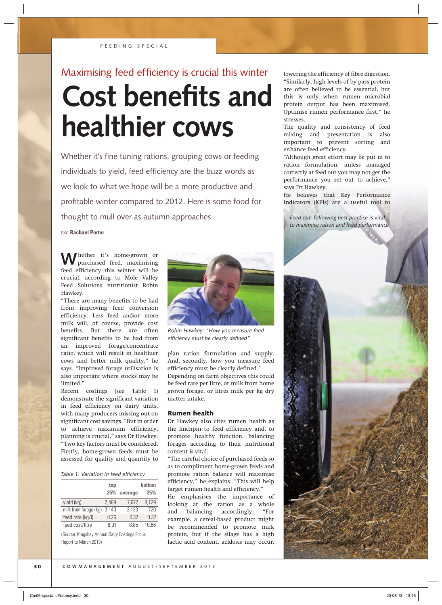# Maximising feed efficiency is crucial this winter **Cost benefits and healthier cows**

Whether it's fine tuning rations, grouping cows or feeding individuals to yield, feed efficiency are the buzz words as we look to what we hope will be a more productive and profitable winter compared to 2012. Here is some food for thought to mull over as autumn approaches.

text **Rachael Porter**

**W**hether it's home-grown or purchased feed, maximising feed efficiency this winter will be crucial, according to Mole Valley Feed Solutions nutritionist Robin Hawkey.

"There are many benefits to be had from improving feed conversion efficiency. Less feed and/or more milk will, of course, provide cost benefits. But there are often significant benefits to be had from an improved forage/concentrate ratio, which will result in healthier cows and better milk quality," he says. "Improved forage utilisation is also important where stocks may be limited."

Recent costings (see Table 1) demonstrate the significant variation in feed efficiency on dairy units, with many producers missing out on significant cost savings. "But in order to achieve maximum efficiency, planning is crucial," says Dr Hawkey. "Two key factors must be considered. Firstly, home-grown feeds must be assessed for quality and quantity to

#### *Table 1: Variation in feed effi ciency*

|                       | top   |         | bottom |
|-----------------------|-------|---------|--------|
|                       | 25%   | average | 25%    |
| yield (kg)            | 7.469 | 7,672   | 8,129  |
| milk from forage (kg) | 3,143 | 2,133   | 720    |
| feed rate (kg/l)      | 0.26  | 0.32    | 0.37   |
| feed cost/litre       | 6 91  | 8.85    | 1በ 66  |

(Source: Kingshay Annual Dairy Costings Focus Report to March 2013)



*Robin Hawkey: "How you measure feed efficiency must be clearly defined"* 

plan ration formulation and supply. And, secondly, how you measure feed efficiency must be clearly defined." Depending on farm objectives this could be feed rate per litre, or milk from home grown forage, or litres milk per kg dry matter intake.

### Rumen health

Dr Hawkey also cites rumen health as the linchpin to feed efficiency and, to promote healthy function, balancing forages according to their nutritional content is vital.

"The careful choice of purchased feeds so as to compliment home-grown feeds and promote ration balance will maximise efficiency," he explains. "This will help target rumen health and efficiency."

He emphasises the importance of looking at the ration as a whole and balancing accordingly. "For example, a cereal-based product might be recommended to promote milk protein, but if the silage has a high lactic acid content, acidosis may occur,

lowering the efficiency of fibre digestion. "Similarly, high levels of by-pass protein are often believed to be essential, but this is only when rumen microbial protein output has been maximised. Optimise rumen performance first," he stresses.

The quality and consistency of feed mixing and presentation is also important to prevent sorting and enhance feed efficiency.

"Although great effort may be put in to ration formulation, unless managed correctly at feed out you may not get the performance you set out to achieve," says Dr Hawkey.

He believes that Key Performance Indicators (KPIs) are a useful tool to

*Feed out: following best practice is vital to maximise ration and herd performance*